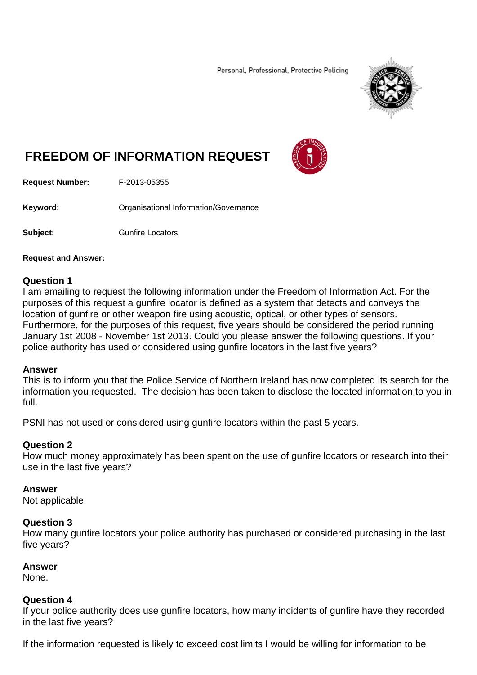Personal, Professional, Protective Policing



# **FREEDOM OF INFORMATION REQUEST**



**Request Number:** F-2013-05355

**Keyword: Cranisational Information/Governance** 

**Subject: Gunfire Locators** 

#### **Request and Answer:**

#### **Question 1**

I am emailing to request the following information under the Freedom of Information Act. For the purposes of this request a gunfire locator is defined as a system that detects and conveys the location of gunfire or other weapon fire using acoustic, optical, or other types of sensors. Furthermore, for the purposes of this request, five years should be considered the period running January 1st 2008 - November 1st 2013. Could you please answer the following questions. If your police authority has used or considered using gunfire locators in the last five years?

#### **Answer**

This is to inform you that the Police Service of Northern Ireland has now completed its search for the information you requested. The decision has been taken to disclose the located information to you in full.

PSNI has not used or considered using gunfire locators within the past 5 years.

# **Question 2**

How much money approximately has been spent on the use of gunfire locators or research into their use in the last five years?

#### **Answer**

Not applicable.

# **Question 3**

How many gunfire locators your police authority has purchased or considered purchasing in the last five years?

# **Answer**

None.

## **Question 4**

If your police authority does use gunfire locators, how many incidents of gunfire have they recorded in the last five years?

If the information requested is likely to exceed cost limits I would be willing for information to be